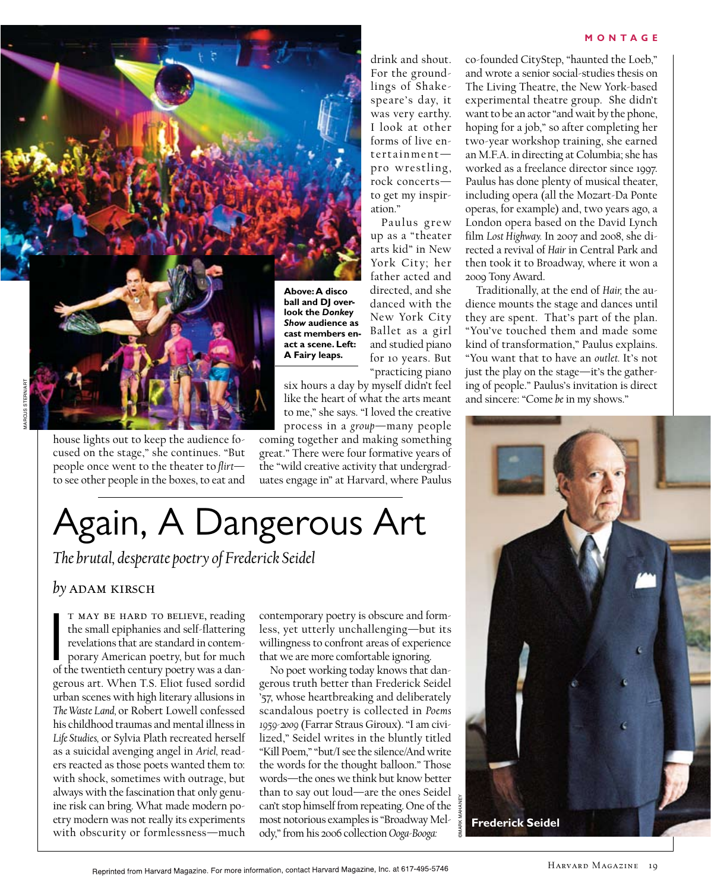#### **MONTAGE**



house lights out to keep the audience focused on the stage," she continues. "But people once went to the theater to *flirt* to see other people in the boxes, to eat and **Above: A disco ball and DJ overlook the** *Donkey Show* **audience as cast members enact a scene. Left: A Fairy leaps.**

six hours a day by myself didn't feel like the heart of what the arts meant to me," she says. "I loved the creative process in a *group—*many people

coming together and making something great." There were four formative years of the "wild creative activity that undergraduates engage in" at Harvard, where Paulus

# Again, A Dangerous Art

*The brutal, desperate poetry of Frederick Seidel*

### *by* adam kirsch

T MAY BE HARD TO BELIEVE, reading<br>the small epiphanies and self-flattering<br>revelations that are standard in contem-<br>porary American poetry, but for much<br>of the twentieth century poetry was a dant may be hard to believe, reading the small epiphanies and self-flattering revelations that are standard in contemporary American poetry, but for much gerous art. When T.S. Eliot fused sordid urban scenes with high literary allusions in *The Waste Land,* or Robert Lowell confessed his childhood traumas and mental illness in *Life Studies,* or Sylvia Plath recreated herself as a suicidal avenging angel in *Ariel,* readers reacted as those poets wanted them to: with shock, sometimes with outrage, but always with the fascination that only genuine risk can bring. What made modern poetry modern was not really its experiments with obscurity or formlessness—much

contemporary poetry is obscure and formless, yet utterly unchallenging—but its willingness to confront areas of experience that we are more comfortable ignoring.

No poet working today knows that dangerous truth better than Frederick Seidel '57, whose heartbreaking and deliberately scandalous poetry is collected in *Poems 1959-2009* (Farrar Straus Giroux). "I am civilized," Seidel writes in the bluntly titled "Kill Poem," "but/I see the silence/And write the words for the thought balloon." Those words—the ones we think but know better than to say out loud—are the ones Seidel can't stop himself from repeating. One of the most notorious examples is "Broadway Melody," from his 2006 collection *Ooga-Booga:*

drink and shout. For the groundlings of Shakespeare's day, it was very earthy. I look at other forms of live entertainment pro wrestling, rock concerts to get my inspir-Paulus grew

up as a "theater arts kid" in New York City; her father acted and directed, and she danced with the New York City Ballet as a girl and studied piano for 10 years. But "practicing piano

ation."

co-founded CityStep, "haunted the Loeb," and wrote a senior social-studies thesis on The Living Theatre, the New York-based experimental theatre group. She didn't want to be an actor "and wait by the phone, hoping for a job," so after completing her two-year workshop training, she earned an M.F.A. in directing at Columbia; she has worked as a freelance director since 1997. Paulus has done plenty of musical theater, including opera (all the Mozart-Da Ponte operas, for example) and, two years ago, a London opera based on the David Lynch film *Lost Highway.* In 2007 and 2008, she directed a revival of *Hair* in Central Park and then took it to Broadway, where it won a 2009 Tony Award.

Traditionally, at the end of *Hair,* the audience mounts the stage and dances until they are spent. That's part of the plan. "You've touched them and made some kind of transformation," Paulus explains. "You want that to have an *outlet.* It's not just the play on the stage—it's the gathering of people." Paulus's invitation is direct and sincere: "Come *be* in my shows."

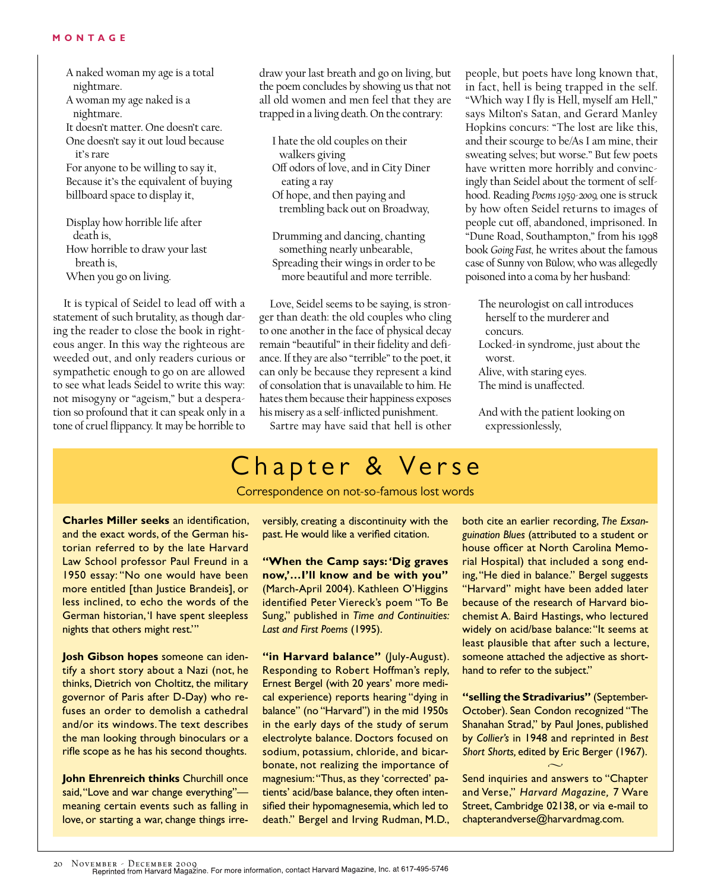#### **MONTAGE**

- A naked woman my age is a total nightmare.
- A woman my age naked is a nightmare.

It doesn't matter. One doesn't care. One doesn't say it out loud because it's rare

For anyone to be willing to say it, Because it's the equivalent of buying billboard space to display it,

Display how horrible life after death is,

How horrible to draw your last breath is,

When you go on living.

It is typical of Seidel to lead off with a statement of such brutality, as though daring the reader to close the book in righteous anger. In this way the righteous are weeded out, and only readers curious or sympathetic enough to go on are allowed to see what leads Seidel to write this way: not misogyny or "ageism," but a desperation so profound that it can speak only in a tone of cruel flippancy. It may be horrible to draw your last breath and go on living, but the poem concludes by showing us that not all old women and men feel that they are trapped in a living death. On the contrary:

I hate the old couples on their walkers giving Off odors of love, and in City Diner eating a ray Of hope, and then paying and

trembling back out on Broadway,

Drumming and dancing, chanting something nearly unbearable, Spreading their wings in order to be more beautiful and more terrible.

Love, Seidel seems to be saying, is stronger than death: the old couples who cling to one another in the face of physical decay remain "beautiful" in their fidelity and defiance. If they are also "terrible" to the poet, it can only be because they represent a kind of consolation that is unavailable to him. He hates them because their happiness exposes his misery as a self-inflicted punishment.

Sartre may have said that hell is other

people, but poets have long known that, in fact, hell is being trapped in the self. "Which way I fly is Hell, myself am Hell," says Milton's Satan, and Gerard Manley Hopkins concurs: "The lost are like this, and their scourge to be/As I am mine, their sweating selves; but worse." But few poets have written more horribly and convincingly than Seidel about the torment of selfhood. Reading *Poems 1959-2009,* one is struck by how often Seidel returns to images of people cut off, abandoned, imprisoned. In "Dune Road, Southampton," from his 1998 book *Going Fast,* he writes about the famous case of Sunny von Bülow, who was allegedly poisoned into a coma by her husband:

The neurologist on call introduces herself to the murderer and concurs.

Locked-in syndrome, just about the worst.

Alive, with staring eyes. The mind is unaffected.

And with the patient looking on expressionlessly,

## Chapter & Verse

Correspondence on not-so-famous lost words

**Charles Miller seeks** an identification, and the exact words, of the German historian referred to by the late Harvard Law School professor Paul Freund in a 1950 essay: "No one would have been more entitled [than Justice Brandeis], or less inclined, to echo the words of the German historian, 'I have spent sleepless nights that others might rest.'"

**Josh Gibson hopes** someone can identify a short story about a Nazi (not, he thinks, Dietrich von Choltitz, the military governor of Paris after D-Day) who refuses an order to demolish a cathedral and/or its windows. The text describes the man looking through binoculars or a rifle scope as he has his second thoughts.

**John Ehrenreich thinks** Churchill once said, "Love and war change everything" meaning certain events such as falling in love, or starting a war, change things irreversibly, creating a discontinuity with the past. He would like a verified citation.

**"When the Camp says: 'Dig graves now,'…I'll know and be with you"** (March-April 2004). Kathleen O'Higgins identified Peter Viereck's poem "To Be Sung," published in *Time and Continuities: Last and First Poems* (1995).

**"in Harvard balance"** (July-August). Responding to Robert Hoffman's reply, Ernest Bergel (with 20 years' more medical experience) reports hearing "dying in balance" (no "Harvard") in the mid 1950s in the early days of the study of serum electrolyte balance. Doctors focused on sodium, potassium, chloride, and bicarbonate, not realizing the importance of magnesium: "Thus, as they 'corrected' patients' acid/base balance, they often intensified their hypomagnesemia, which led to death." Bergel and Irving Rudman, M.D.,

both cite an earlier recording, *The Exsanguination Blues* (attributed to a student or house officer at North Carolina Memorial Hospital) that included a song ending, "He died in balance." Bergel suggests "Harvard" might have been added later because of the research of Harvard biochemist A. Baird Hastings, who lectured widely on acid/base balance: "It seems at least plausible that after such a lecture, someone attached the adjective as shorthand to refer to the subject."

**"selling the Stradivarius"** (September-October). Sean Condon recognized "The Shanahan Strad," by Paul Jones, published by *Collier's* in 1948 and reprinted in *Best Short Shorts,* edited by Eric Berger (1967).

Send inquiries and answers to "Chapter and Verse," *Harvard Magazine,* 7 Ware Street, Cambridge 02138, or via e-mail to chapterandverse@harvardmag.com.

 $\sim$